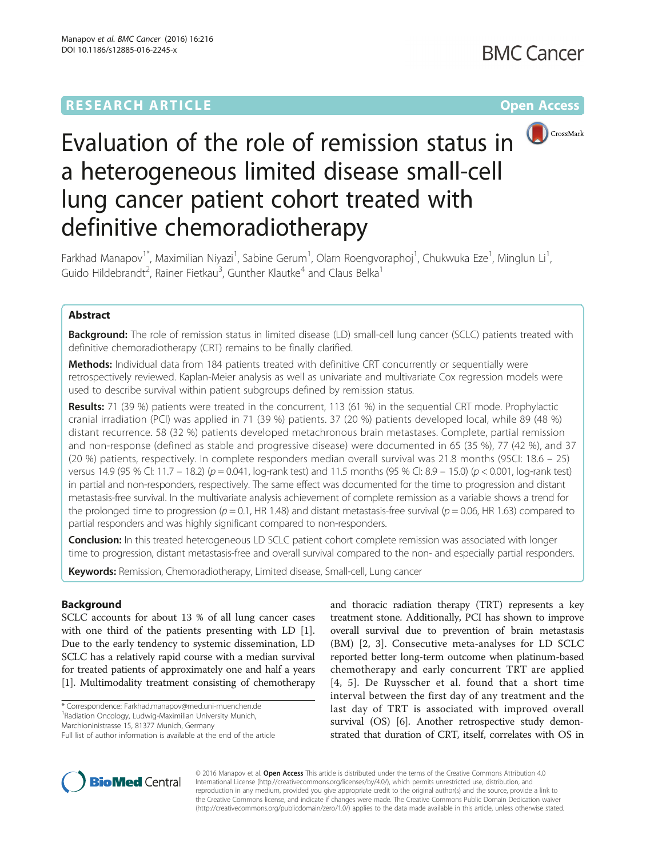# **RESEARCH ARTICLE External Structure Community Community Community Community Community Community Community Community**



# Evaluation of the role of remission status in a heterogeneous limited disease small-cell lung cancer patient cohort treated with definitive chemoradiotherapy

Farkhad Manapov<sup>1\*</sup>, Maximilian Niyazi<sup>1</sup>, Sabine Gerum<sup>1</sup>, Olarn Roengvoraphoj<sup>1</sup>, Chukwuka Eze<sup>1</sup>, Minglun Li<sup>1</sup> , Guido Hildebrandt<sup>2</sup>, Rainer Fietkau<sup>3</sup>, Gunther Klautke<sup>4</sup> and Claus Belka<sup>1</sup>

# Abstract

**Background:** The role of remission status in limited disease (LD) small-cell lung cancer (SCLC) patients treated with definitive chemoradiotherapy (CRT) remains to be finally clarified.

Methods: Individual data from 184 patients treated with definitive CRT concurrently or sequentially were retrospectively reviewed. Kaplan-Meier analysis as well as univariate and multivariate Cox regression models were used to describe survival within patient subgroups defined by remission status.

Results: 71 (39 %) patients were treated in the concurrent, 113 (61 %) in the sequential CRT mode. Prophylactic cranial irradiation (PCI) was applied in 71 (39 %) patients. 37 (20 %) patients developed local, while 89 (48 %) distant recurrence. 58 (32 %) patients developed metachronous brain metastases. Complete, partial remission and non-response (defined as stable and progressive disease) were documented in 65 (35 %), 77 (42 %), and 37 (20 %) patients, respectively. In complete responders median overall survival was 21.8 months (95CI: 18.6 – 25) versus 14.9 (95 % CI: 11.7 – 18.2) ( $p = 0.041$ , log-rank test) and 11.5 months (95 % CI: 8.9 – 15.0) ( $p < 0.001$ , log-rank test) in partial and non-responders, respectively. The same effect was documented for the time to progression and distant metastasis-free survival. In the multivariate analysis achievement of complete remission as a variable shows a trend for the prolonged time to progression ( $p = 0.1$ , HR 1.48) and distant metastasis-free survival ( $p = 0.06$ , HR 1.63) compared to partial responders and was highly significant compared to non-responders.

**Conclusion:** In this treated heterogeneous LD SCLC patient cohort complete remission was associated with longer time to progression, distant metastasis-free and overall survival compared to the non- and especially partial responders.

Keywords: Remission, Chemoradiotherapy, Limited disease, Small-cell, Lung cancer

# Background

SCLC accounts for about 13 % of all lung cancer cases with one third of the patients presenting with LD [\[1](#page-5-0)]. Due to the early tendency to systemic dissemination, LD SCLC has a relatively rapid course with a median survival for treated patients of approximately one and half a years [[1\]](#page-5-0). Multimodality treatment consisting of chemotherapy

\* Correspondence: [Farkhad.manapov@med.uni-muenchen.de](mailto:Farkhad.manapov@med.uni-muenchen.de) <sup>1</sup>

Radiation Oncology, Ludwig-Maximilian University Munich,

Marchioninistrasse 15, 81377 Munich, Germany

and thoracic radiation therapy (TRT) represents a key treatment stone. Additionally, PCI has shown to improve overall survival due to prevention of brain metastasis (BM) [\[2](#page-5-0), [3](#page-5-0)]. Consecutive meta-analyses for LD SCLC reported better long-term outcome when platinum-based chemotherapy and early concurrent TRT are applied [[4](#page-5-0), [5\]](#page-5-0). De Ruysscher et al. found that a short time interval between the first day of any treatment and the last day of TRT is associated with improved overall survival (OS) [[6](#page-5-0)]. Another retrospective study demonstrated that duration of CRT, itself, correlates with OS in



© 2016 Manapov et al. Open Access This article is distributed under the terms of the Creative Commons Attribution 4.0 International License [\(http://creativecommons.org/licenses/by/4.0/](http://creativecommons.org/licenses/by/4.0/)), which permits unrestricted use, distribution, and reproduction in any medium, provided you give appropriate credit to the original author(s) and the source, provide a link to the Creative Commons license, and indicate if changes were made. The Creative Commons Public Domain Dedication waiver [\(http://creativecommons.org/publicdomain/zero/1.0/](http://creativecommons.org/publicdomain/zero/1.0/)) applies to the data made available in this article, unless otherwise stated.

Full list of author information is available at the end of the article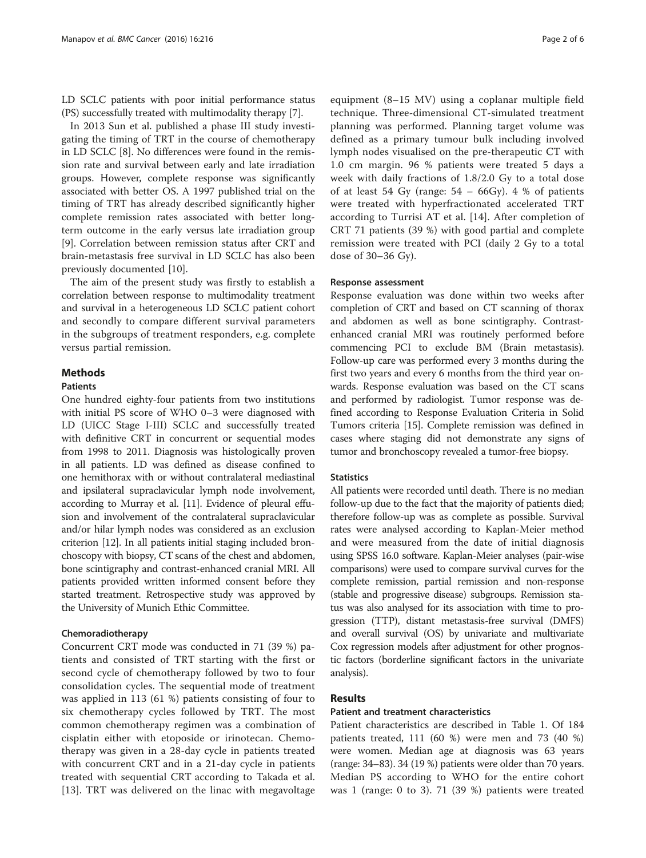LD SCLC patients with poor initial performance status (PS) successfully treated with multimodality therapy [[7](#page-5-0)].

In 2013 Sun et al. published a phase III study investigating the timing of TRT in the course of chemotherapy in LD SCLC [\[8\]](#page-5-0). No differences were found in the remission rate and survival between early and late irradiation groups. However, complete response was significantly associated with better OS. A 1997 published trial on the timing of TRT has already described significantly higher complete remission rates associated with better longterm outcome in the early versus late irradiation group [[9\]](#page-5-0). Correlation between remission status after CRT and brain-metastasis free survival in LD SCLC has also been previously documented [\[10\]](#page-5-0).

The aim of the present study was firstly to establish a correlation between response to multimodality treatment and survival in a heterogeneous LD SCLC patient cohort and secondly to compare different survival parameters in the subgroups of treatment responders, e.g. complete versus partial remission.

# **Methods**

# Patients

One hundred eighty-four patients from two institutions with initial PS score of WHO 0–3 were diagnosed with LD (UICC Stage I-III) SCLC and successfully treated with definitive CRT in concurrent or sequential modes from 1998 to 2011. Diagnosis was histologically proven in all patients. LD was defined as disease confined to one hemithorax with or without contralateral mediastinal and ipsilateral supraclavicular lymph node involvement, according to Murray et al. [[11](#page-5-0)]. Evidence of pleural effusion and involvement of the contralateral supraclavicular and/or hilar lymph nodes was considered as an exclusion criterion [\[12\]](#page-5-0). In all patients initial staging included bronchoscopy with biopsy, CT scans of the chest and abdomen, bone scintigraphy and contrast-enhanced cranial MRI. All patients provided written informed consent before they started treatment. Retrospective study was approved by the University of Munich Ethic Committee.

### Chemoradiotherapy

Concurrent CRT mode was conducted in 71 (39 %) patients and consisted of TRT starting with the first or second cycle of chemotherapy followed by two to four consolidation cycles. The sequential mode of treatment was applied in 113 (61 %) patients consisting of four to six chemotherapy cycles followed by TRT. The most common chemotherapy regimen was a combination of cisplatin either with etoposide or irinotecan. Chemotherapy was given in a 28-day cycle in patients treated with concurrent CRT and in a 21-day cycle in patients treated with sequential CRT according to Takada et al. [[13\]](#page-5-0). TRT was delivered on the linac with megavoltage equipment (8–15 MV) using a coplanar multiple field technique. Three-dimensional CT-simulated treatment planning was performed. Planning target volume was defined as a primary tumour bulk including involved lymph nodes visualised on the pre-therapeutic CT with 1.0 cm margin. 96 % patients were treated 5 days a week with daily fractions of 1.8/2.0 Gy to a total dose of at least 54 Gy (range:  $54 - 66$ Gy). 4 % of patients were treated with hyperfractionated accelerated TRT according to Turrisi AT et al. [\[14](#page-5-0)]. After completion of CRT 71 patients (39 %) with good partial and complete remission were treated with PCI (daily 2 Gy to a total dose of 30–36 Gy).

#### Response assessment

Response evaluation was done within two weeks after completion of CRT and based on CT scanning of thorax and abdomen as well as bone scintigraphy. Contrastenhanced cranial MRI was routinely performed before commencing PCI to exclude BM (Brain metastasis). Follow-up care was performed every 3 months during the first two years and every 6 months from the third year onwards. Response evaluation was based on the CT scans and performed by radiologist. Tumor response was defined according to Response Evaluation Criteria in Solid Tumors criteria [\[15](#page-5-0)]. Complete remission was defined in cases where staging did not demonstrate any signs of tumor and bronchoscopy revealed a tumor-free biopsy.

#### **Statistics**

All patients were recorded until death. There is no median follow-up due to the fact that the majority of patients died; therefore follow-up was as complete as possible. Survival rates were analysed according to Kaplan-Meier method and were measured from the date of initial diagnosis using SPSS 16.0 software. Kaplan-Meier analyses (pair-wise comparisons) were used to compare survival curves for the complete remission, partial remission and non-response (stable and progressive disease) subgroups. Remission status was also analysed for its association with time to progression (TTP), distant metastasis-free survival (DMFS) and overall survival (OS) by univariate and multivariate Cox regression models after adjustment for other prognostic factors (borderline significant factors in the univariate analysis).

# Results

#### Patient and treatment characteristics

Patient characteristics are described in Table [1.](#page-2-0) Of 184 patients treated, 111 (60 %) were men and 73 (40 %) were women. Median age at diagnosis was 63 years (range: 34–83). 34 (19 %) patients were older than 70 years. Median PS according to WHO for the entire cohort was 1 (range: 0 to 3). 71 (39 %) patients were treated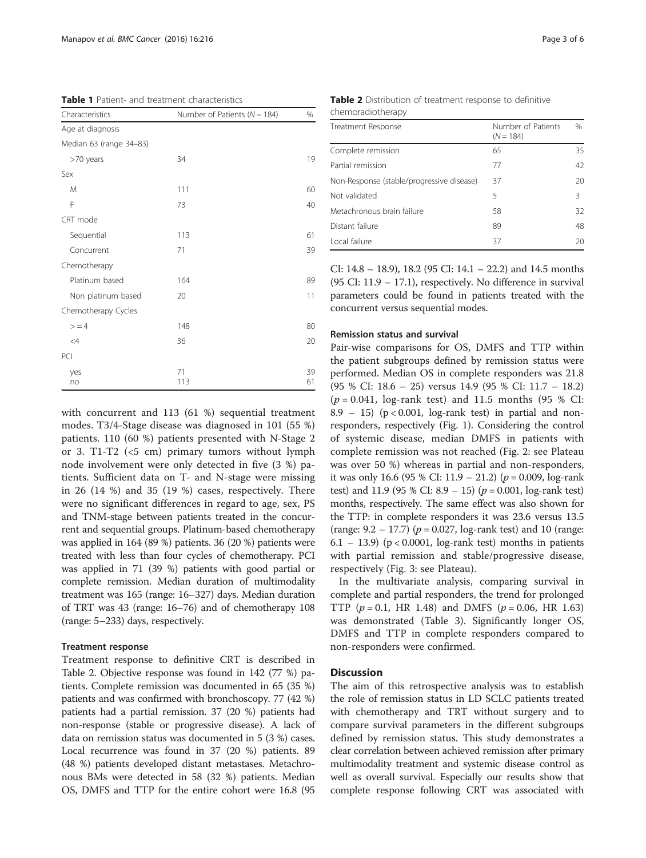<span id="page-2-0"></span>Table 1 Patient- and treatment characteristics

| Characteristics         | Number of Patients ( $N = 184$ ) | %        |
|-------------------------|----------------------------------|----------|
| Age at diagnosis        |                                  |          |
| Median 63 (range 34-83) |                                  |          |
| >70 years               | 34                               | 19       |
| Sex                     |                                  |          |
| M                       | 111                              | 60       |
| F                       | 73                               | 40       |
| CRT mode                |                                  |          |
| Sequential              | 113                              | 61       |
| Concurrent              | 71                               | 39       |
| Chemotherapy            |                                  |          |
| Platinum based          | 164                              | 89       |
| Non platinum based      | 20                               | 11       |
| Chemotherapy Cycles     |                                  |          |
| > 4                     | 148                              | 80       |
| $\leq$ 4                | 36                               | 20       |
| PCI                     |                                  |          |
| yes<br>no               | 71<br>113                        | 39<br>61 |

with concurrent and 113 (61 %) sequential treatment modes. T3/4-Stage disease was diagnosed in 101 (55 %) patients. 110 (60 %) patients presented with N-Stage 2 or 3. T1-T2  $( $5 \text{ cm}$ ) primary tumors without lymph$ node involvement were only detected in five (3 %) patients. Sufficient data on T- and N-stage were missing in 26 (14 %) and 35 (19 %) cases, respectively. There were no significant differences in regard to age, sex, PS and TNM-stage between patients treated in the concurrent and sequential groups. Platinum-based chemotherapy was applied in 164 (89 %) patients. 36 (20 %) patients were treated with less than four cycles of chemotherapy. PCI was applied in 71 (39 %) patients with good partial or complete remission. Median duration of multimodality treatment was 165 (range: 16–327) days. Median duration of TRT was 43 (range: 16–76) and of chemotherapy 108 (range: 5–233) days, respectively.

# Treatment response

Treatment response to definitive CRT is described in Table 2. Objective response was found in 142 (77 %) patients. Complete remission was documented in 65 (35 %) patients and was confirmed with bronchoscopy. 77 (42 %) patients had a partial remission. 37 (20 %) patients had non-response (stable or progressive disease). A lack of data on remission status was documented in 5 (3 %) cases. Local recurrence was found in 37 (20 %) patients. 89 (48 %) patients developed distant metastases. Metachronous BMs were detected in 58 (32 %) patients. Median OS, DMFS and TTP for the entire cohort were 16.8 (95

|                   | Table 2 Distribution of treatment response to definitive |
|-------------------|----------------------------------------------------------|
| chemoradiotherapy |                                                          |

| Treatment Response                        | Number of Patients |      |
|-------------------------------------------|--------------------|------|
|                                           | $(N = 184)$        | $\%$ |
| Complete remission                        | 65                 | 35   |
| Partial remission                         | 77                 | 42   |
| Non-Response (stable/progressive disease) | 37                 | 20   |
| Not validated                             | 5                  | 3    |
| Metachronous brain failure                | 58                 | 32   |
| Distant failure                           | 89                 | 48   |
| Local failure                             | 37                 | 20   |

CI: 14.8 – 18.9), 18.2 (95 CI: 14.1 – 22.2) and 14.5 months (95 CI: 11.9 – 17.1), respectively. No difference in survival parameters could be found in patients treated with the concurrent versus sequential modes.

#### Remission status and survival

Pair-wise comparisons for OS, DMFS and TTP within the patient subgroups defined by remission status were performed. Median OS in complete responders was 21.8 (95 % CI: 18.6 – 25) versus 14.9 (95 % CI: 11.7 – 18.2)  $(p = 0.041, \text{log-rank test})$  and 11.5 months (95 % CI: 8.9 – 15) ( $p < 0.001$ , log-rank test) in partial and nonresponders, respectively (Fig. [1](#page-3-0)). Considering the control of systemic disease, median DMFS in patients with complete remission was not reached (Fig. [2:](#page-3-0) see Plateau was over 50 %) whereas in partial and non-responders, it was only 16.6 (95 % CI: 11.9 – 21.2) ( $p = 0.009$ , log-rank test) and 11.9 (95 % CI: 8.9 – 15) ( $p = 0.001$ , log-rank test) months, respectively. The same effect was also shown for the TTP: in complete responders it was 23.6 versus 13.5 (range:  $9.2 - 17.7$ ) ( $p = 0.027$ , log-rank test) and 10 (range:  $6.1 - 13.9$  ( $p < 0.0001$ , log-rank test) months in patients with partial remission and stable/progressive disease, respectively (Fig. [3:](#page-4-0) see Plateau).

In the multivariate analysis, comparing survival in complete and partial responders, the trend for prolonged TTP ( $p = 0.1$ , HR 1.48) and DMFS ( $p = 0.06$ , HR 1.63) was demonstrated (Table [3](#page-4-0)). Significantly longer OS, DMFS and TTP in complete responders compared to non-responders were confirmed.

# **Discussion**

The aim of this retrospective analysis was to establish the role of remission status in LD SCLC patients treated with chemotherapy and TRT without surgery and to compare survival parameters in the different subgroups defined by remission status. This study demonstrates a clear correlation between achieved remission after primary multimodality treatment and systemic disease control as well as overall survival. Especially our results show that complete response following CRT was associated with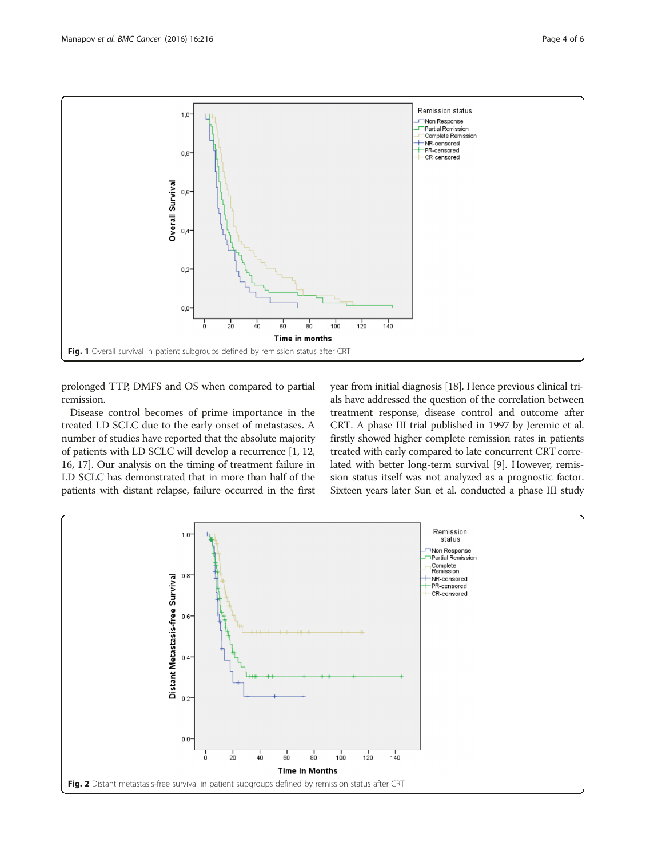<span id="page-3-0"></span>

prolonged TTP, DMFS and OS when compared to partial remission.

Disease control becomes of prime importance in the treated LD SCLC due to the early onset of metastases. A number of studies have reported that the absolute majority of patients with LD SCLC will develop a recurrence [\[1](#page-5-0), [12](#page-5-0), [16](#page-5-0), [17](#page-5-0)]. Our analysis on the timing of treatment failure in LD SCLC has demonstrated that in more than half of the patients with distant relapse, failure occurred in the first year from initial diagnosis [\[18\]](#page-5-0). Hence previous clinical trials have addressed the question of the correlation between treatment response, disease control and outcome after CRT. A phase III trial published in 1997 by Jeremic et al. firstly showed higher complete remission rates in patients treated with early compared to late concurrent CRT correlated with better long-term survival [\[9\]](#page-5-0). However, remission status itself was not analyzed as a prognostic factor. Sixteen years later Sun et al. conducted a phase III study

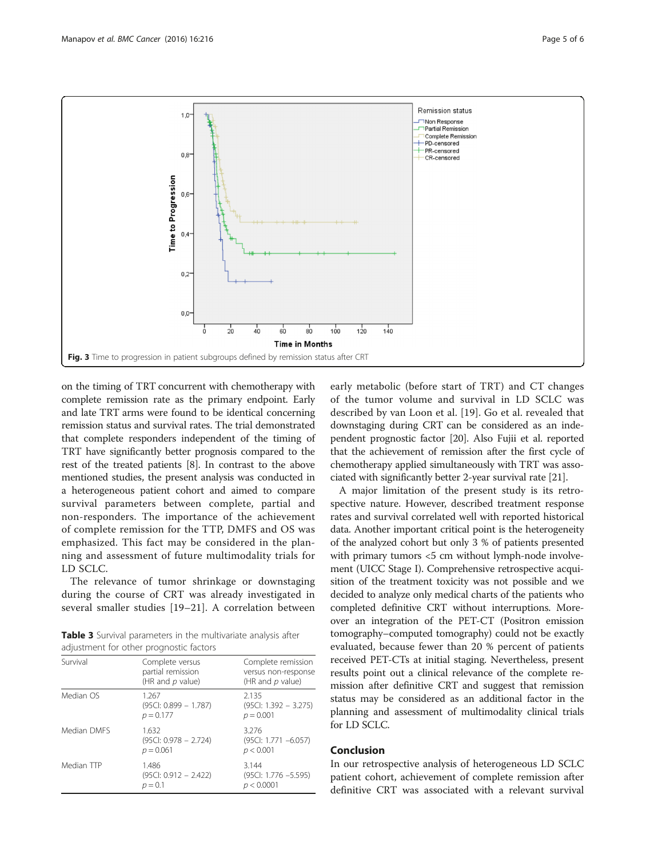<span id="page-4-0"></span>

on the timing of TRT concurrent with chemotherapy with complete remission rate as the primary endpoint. Early and late TRT arms were found to be identical concerning remission status and survival rates. The trial demonstrated that complete responders independent of the timing of TRT have significantly better prognosis compared to the rest of the treated patients [[8\]](#page-5-0). In contrast to the above mentioned studies, the present analysis was conducted in a heterogeneous patient cohort and aimed to compare survival parameters between complete, partial and non-responders. The importance of the achievement of complete remission for the TTP, DMFS and OS was emphasized. This fact may be considered in the planning and assessment of future multimodality trials for LD SCLC.

The relevance of tumor shrinkage or downstaging during the course of CRT was already investigated in several smaller studies [[19](#page-5-0)–[21\]](#page-5-0). A correlation between

Table 3 Survival parameters in the multivariate analysis after adjustment for other prognostic factors

| Survival    | Complete versus<br>partial remission<br>(HR and $p$ value) | Complete remission<br>versus non-response<br>(HR and p value) |
|-------------|------------------------------------------------------------|---------------------------------------------------------------|
| Median OS   | 1.267<br>$(95C1: 0.899 - 1.787)$<br>$p = 0.177$            | 2.135<br>$(95C: 1.392 - 3.275)$<br>$p = 0.001$                |
| Median DMES | 1.632<br>$(95C1: 0.978 - 2.724)$<br>$p = 0.061$            | 3.276<br>(95Cl: 1.771 -6.057)<br>p < 0.001                    |
| Median TTP  | 1.486<br>$(95C): 0.912 - 2.422)$<br>$p = 0.1$              | 3.144<br>$(95C: 1.776 - 5.595)$<br>p < 0.0001                 |

early metabolic (before start of TRT) and CT changes of the tumor volume and survival in LD SCLC was described by van Loon et al. [[19](#page-5-0)]. Go et al. revealed that downstaging during CRT can be considered as an independent prognostic factor [[20](#page-5-0)]. Also Fujii et al. reported that the achievement of remission after the first cycle of chemotherapy applied simultaneously with TRT was associated with significantly better 2-year survival rate [\[21\]](#page-5-0).

A major limitation of the present study is its retrospective nature. However, described treatment response rates and survival correlated well with reported historical data. Another important critical point is the heterogeneity of the analyzed cohort but only 3 % of patients presented with primary tumors <5 cm without lymph-node involvement (UICC Stage I). Comprehensive retrospective acquisition of the treatment toxicity was not possible and we decided to analyze only medical charts of the patients who completed definitive CRT without interruptions. Moreover an integration of the PET-CT (Positron emission tomography–computed tomography) could not be exactly evaluated, because fewer than 20 % percent of patients received PET-CTs at initial staging. Nevertheless, present results point out a clinical relevance of the complete remission after definitive CRT and suggest that remission status may be considered as an additional factor in the planning and assessment of multimodality clinical trials for LD SCLC.

# Conclusion

In our retrospective analysis of heterogeneous LD SCLC patient cohort, achievement of complete remission after definitive CRT was associated with a relevant survival